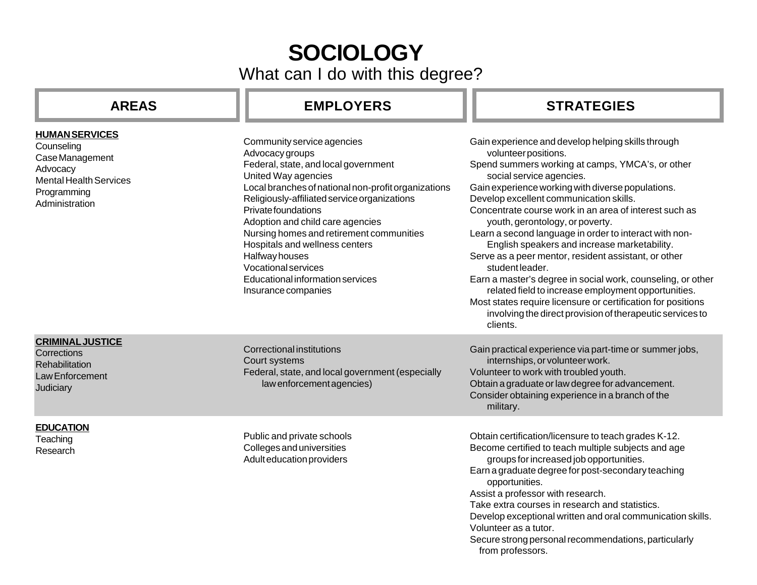# **SOCIOLOGY**

What can I do with this degree?

### **AREAS**

## EMPLOYERS | | STRATEGIES

| <b>HUMAN SERVICES</b><br>Counseling<br>Case Management<br>Advocacy<br><b>Mental Health Services</b><br>Programming<br>Administration | Community service agencies<br>Advocacy groups<br>Federal, state, and local government<br>United Way agencies<br>Local branches of national non-profit organizations<br>Religiously-affiliated service organizations<br>Private foundations<br>Adoption and child care agencies<br>Nursing homes and retirement communities<br>Hospitals and wellness centers<br>Halfway houses<br><b>Vocational services</b><br>Educational information services<br>Insurance companies | Gain experience and develop helping skills through<br>volunteer positions.<br>Spend summers working at camps, YMCA's, or other<br>social service agencies.<br>Gain experience working with diverse populations.<br>Develop excellent communication skills.<br>Concentrate course work in an area of interest such as<br>youth, gerontology, or poverty.<br>Learn a second language in order to interact with non-<br>English speakers and increase marketability.<br>Serve as a peer mentor, resident assistant, or other<br>student leader.<br>Earn a master's degree in social work, counseling, or other<br>related field to increase employment opportunities.<br>Most states require licensure or certification for positions<br>involving the direct provision of therapeutic services to<br>clients. |
|--------------------------------------------------------------------------------------------------------------------------------------|-------------------------------------------------------------------------------------------------------------------------------------------------------------------------------------------------------------------------------------------------------------------------------------------------------------------------------------------------------------------------------------------------------------------------------------------------------------------------|-------------------------------------------------------------------------------------------------------------------------------------------------------------------------------------------------------------------------------------------------------------------------------------------------------------------------------------------------------------------------------------------------------------------------------------------------------------------------------------------------------------------------------------------------------------------------------------------------------------------------------------------------------------------------------------------------------------------------------------------------------------------------------------------------------------|
| <b>CRIMINAL JUSTICE</b><br>Corrections<br>Rehabilitation<br>Law Enforcement<br><b>Judiciary</b>                                      | <b>Correctional institutions</b><br>Court systems<br>Federal, state, and local government (especially<br>law enforcement agencies)                                                                                                                                                                                                                                                                                                                                      | Gain practical experience via part-time or summer jobs,<br>internships, or volunteer work.<br>Volunteer to work with troubled youth.<br>Obtain a graduate or law degree for advancement.<br>Consider obtaining experience in a branch of the<br>military.                                                                                                                                                                                                                                                                                                                                                                                                                                                                                                                                                   |
| <b>EDUCATION</b><br>Teaching<br>Research                                                                                             | Public and private schools<br>Colleges and universities<br>Adult education providers                                                                                                                                                                                                                                                                                                                                                                                    | Obtain certification/licensure to teach grades K-12.<br>Become certified to teach multiple subjects and age<br>groups for increased job opportunities.<br>Earn a graduate degree for post-secondary teaching<br>opportunities.<br>Assist a professor with research.<br>Take extra courses in research and statistics.<br>Develop exceptional written and oral communication skills.<br>Volunteer as a tutor.<br>Secure strong personal recommendations, particularly<br>from professors.                                                                                                                                                                                                                                                                                                                    |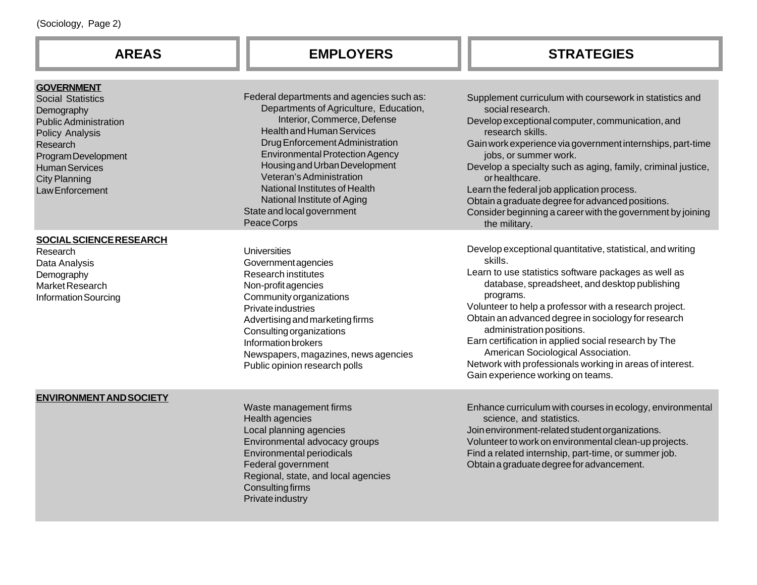| (Sociology, Page 2)                                                                                                                                                                                                   |                                                                                                                                                                                                                                                                                                                                                                                                               |                                                                                                                                                                                                                                                                                                                                                                                                                                                                                                                                          |  |  |
|-----------------------------------------------------------------------------------------------------------------------------------------------------------------------------------------------------------------------|---------------------------------------------------------------------------------------------------------------------------------------------------------------------------------------------------------------------------------------------------------------------------------------------------------------------------------------------------------------------------------------------------------------|------------------------------------------------------------------------------------------------------------------------------------------------------------------------------------------------------------------------------------------------------------------------------------------------------------------------------------------------------------------------------------------------------------------------------------------------------------------------------------------------------------------------------------------|--|--|
| <b>AREAS</b>                                                                                                                                                                                                          | <b>EMPLOYERS</b>                                                                                                                                                                                                                                                                                                                                                                                              | <b>STRATEGIES</b>                                                                                                                                                                                                                                                                                                                                                                                                                                                                                                                        |  |  |
| <b>GOVERNMENT</b><br><b>Social Statistics</b><br>Demography<br><b>Public Administration</b><br>Policy Analysis<br>Research<br>Program Development<br><b>Human Services</b><br><b>City Planning</b><br>Law Enforcement | Federal departments and agencies such as:<br>Departments of Agriculture, Education,<br>Interior, Commerce, Defense<br><b>Health and Human Services</b><br>Drug Enforcement Administration<br><b>Environmental Protection Agency</b><br>Housing and Urban Development<br>Veteran's Administration<br>National Institutes of Health<br>National Institute of Aging<br>State and local government<br>Peace Corps | Supplement curriculum with coursework in statistics and<br>social research.<br>Develop exceptional computer, communication, and<br>research skills.<br>Gain work experience via government internships, part-time<br>jobs, or summer work.<br>Develop a specialty such as aging, family, criminal justice,<br>or healthcare.<br>Learn the federal job application process.<br>Obtain a graduate degree for advanced positions.<br>Consider beginning a career with the government by joining<br>the military.                            |  |  |
| <b>SOCIAL SCIENCE RESEARCH</b><br>Research<br>Data Analysis<br>Demography<br>Market Research<br><b>Information Sourcing</b>                                                                                           | <b>Universities</b><br>Governmentagencies<br><b>Research institutes</b><br>Non-profit agencies<br>Community organizations<br>Private industries<br>Advertising and marketing firms<br><b>Consulting organizations</b><br>Information brokers<br>Newspapers, magazines, news agencies<br>Public opinion research polls                                                                                         | Develop exceptional quantitative, statistical, and writing<br>skills.<br>Learn to use statistics software packages as well as<br>database, spreadsheet, and desktop publishing<br>programs.<br>Volunteer to help a professor with a research project.<br>Obtain an advanced degree in sociology for research<br>administration positions.<br>Earn certification in applied social research by The<br>American Sociological Association.<br>Network with professionals working in areas of interest.<br>Gain experience working on teams. |  |  |
| <b>ENVIRONMENT AND SOCIETY</b>                                                                                                                                                                                        | Waste management firms<br>Health agencies<br>Local planning agencies<br>Environmental advocacy groups<br>Environmental periodicals<br>Federal government<br>Regional, state, and local agencies<br><b>Consulting firms</b><br>Private industry                                                                                                                                                                | Enhance curriculum with courses in ecology, environmental<br>science, and statistics.<br>Join environment-related student organizations.<br>Volunteer to work on environmental clean-up projects.<br>Find a related internship, part-time, or summer job.<br>Obtain a graduate degree for advancement.                                                                                                                                                                                                                                   |  |  |